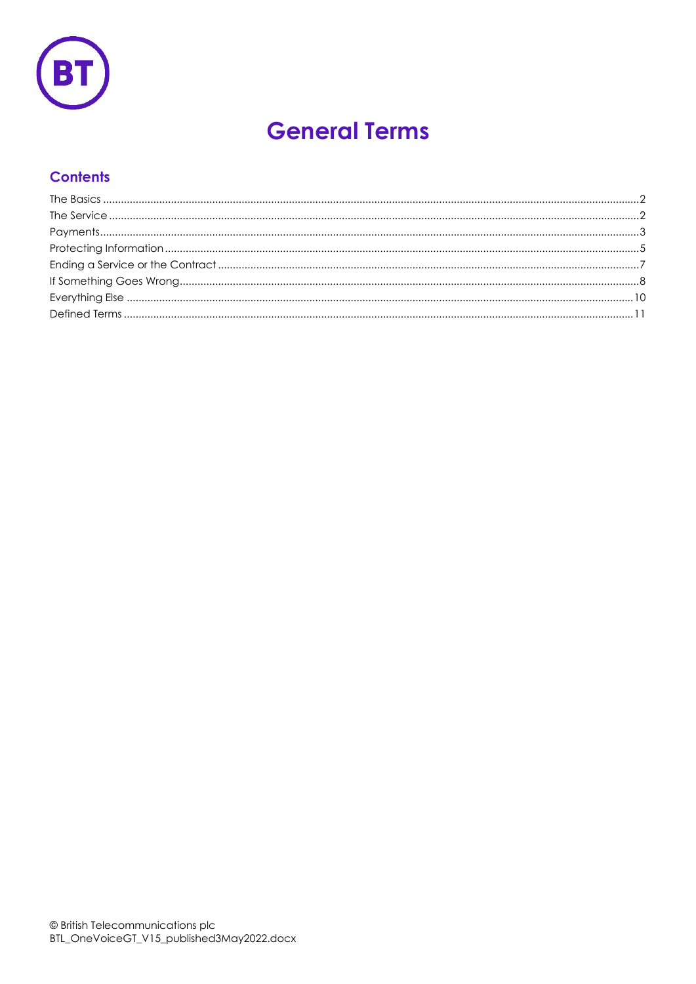

# **General Terms**

# **Contents**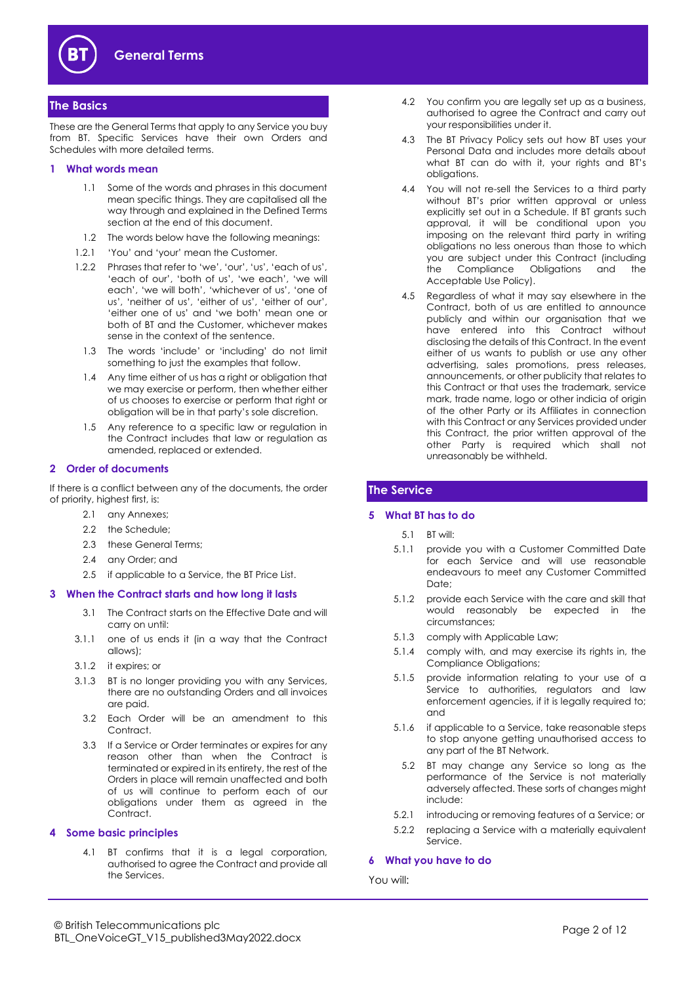

# <span id="page-1-0"></span>**The Basics**

These are the General Terms that apply to any Service you buy from BT. Specific Services have their own Orders and Schedules with more detailed terms.

## **1 What words mean**

- 1.1 Some of the words and phrases in this document mean specific things. They are capitalised all the way through and explained in the Defined Terms section at the end of this document.
- 1.2 The words below have the following meanings:
- 1.2.1 'You' and 'your' mean the Customer.
- 1.2.2 Phrases that refer to 'we', 'our', 'us', 'each of us', 'each of our', 'both of us', 'we each', 'we will each', 'we will both', 'whichever of us', 'one of us', 'neither of us', 'either of us', 'either of our', 'either one of us' and 'we both' mean one or both of BT and the Customer, whichever makes sense in the context of the sentence.
	- 1.3 The words 'include' or 'including' do not limit something to just the examples that follow.
	- 1.4 Any time either of us has a right or obligation that we may exercise or perform, then whether either of us chooses to exercise or perform that right or obligation will be in that party's sole discretion.
	- 1.5 Any reference to a specific law or regulation in the Contract includes that law or regulation as amended, replaced or extended.

#### <span id="page-1-4"></span>**2 Order of documents**

If there is a conflict between any of the documents, the order of priority, highest first, is:

- 2.1 any Annexes;
- 2.2 the Schedule:
- 2.3 these General Terms;
- 2.4 any Order; and
- 2.5 if applicable to a Service, the BT Price List.

#### **3 When the Contract starts and how long it lasts**

- 3.1 The Contract starts on the Effective Date and will carry on until:
- 3.1.1 one of us ends it (in a way that the Contract allows);
- 3.1.2 it expires; or
- 3.1.3 BT is no longer providing you with any Services, there are no outstanding Orders and all invoices are paid.
	- 3.2 Each Order will be an amendment to this Contract.
- 3.3 If a Service or Order terminates or expires for any reason other than when the Contract is terminated or expired in its entirety, the rest of the Orders in place will remain unaffected and both of us will continue to perform each of our obligations under them as agreed in the Contract.

#### **4 Some basic principles**

4.1 BT confirms that it is a legal corporation, authorised to agree the Contract and provide all the Services.

- 4.2 You confirm you are legally set up as a business, authorised to agree the Contract and carry out your responsibilities under it.
- 4.3 The BT Privacy Policy sets out how BT uses your Personal Data and includes more details about what BT can do with it, your rights and BT's obligations.
- 4.4 You will not re-sell the Services to a third party without BT's prior written approval or unless explicitly set out in a Schedule. If BT grants such approval, it will be conditional upon you imposing on the relevant third party in writing obligations no less onerous than those to which you are subject under this Contract (including the Compliance Obligations and the Acceptable Use Policy).
- 4.5 Regardless of what it may say elsewhere in the Contract, both of us are entitled to announce publicly and within our organisation that we have entered into this Contract without disclosing the details of this Contract. In the event either of us wants to publish or use any other advertising, sales promotions, press releases, announcements, or other publicity that relates to this Contract or that uses the trademark, service mark, trade name, logo or other indicia of origin of the other Party or its Affiliates in connection with this Contract or any Services provided under this Contract, the prior written approval of the other Party is required which shall not unreasonably be withheld.

# <span id="page-1-1"></span>**The Service**

#### **5 What BT has to do**

- 5.1 BT will:
- 5.1.1 provide you with a Customer Committed Date for each Service and will use reasonable endeavours to meet any Customer Committed Date;
- 5.1.2 provide each Service with the care and skill that would reasonably be expected in the circumstances;
- 5.1.3 comply with Applicable Law;
- 5.1.4 comply with, and may exercise its rights in, the Compliance Obligations;
- 5.1.5 provide information relating to your use of a Service to authorities, regulators and law enforcement agencies, if it is legally required to; and
- <span id="page-1-3"></span><span id="page-1-2"></span>5.1.6 if applicable to a Service, take reasonable steps to stop anyone getting unauthorised access to any part of the BT Network.
	- 5.2 BT may change any Service so long as the performance of the Service is not materially adversely affected. These sorts of changes might include:
- 5.2.1 introducing or removing features of a Service; or
- 5.2.2 replacing a Service with a materially equivalent Service.

#### **6 What you have to do**

#### You will: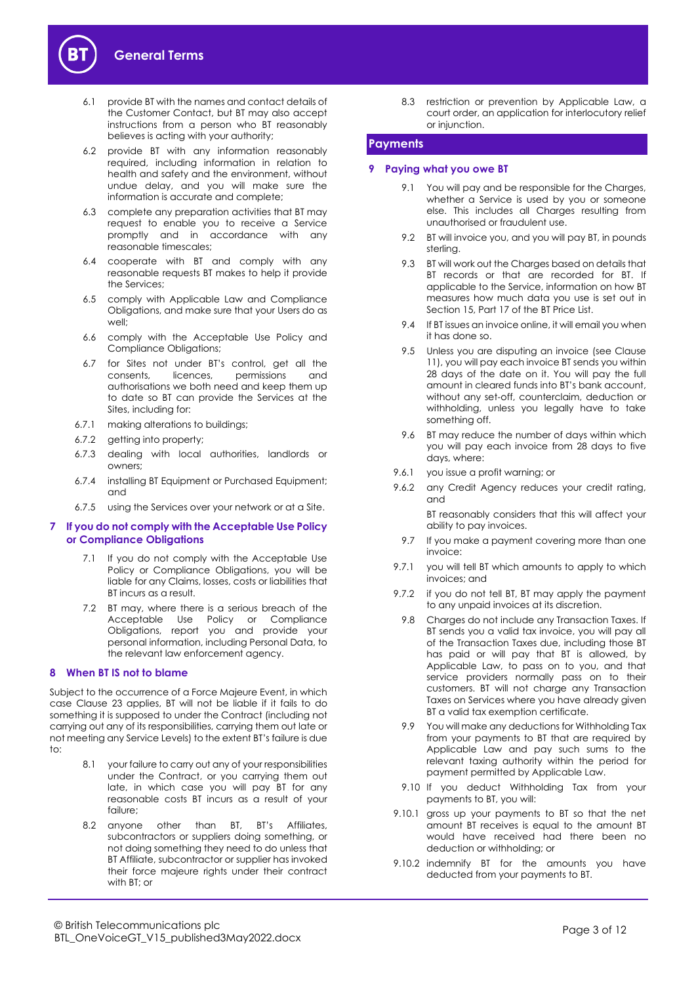

- 6.1 provide BT with the names and contact details of the Customer Contact, but BT may also accept instructions from a person who BT reasonably believes is acting with your authority;
- 6.2 provide BT with any information reasonably required, including information in relation to health and safety and the environment, without undue delay, and you will make sure the information is accurate and complete;
- 6.3 complete any preparation activities that BT may request to enable you to receive a Service promptly and in accordance with any reasonable timescales;
- 6.4 cooperate with BT and comply with any reasonable requests BT makes to help it provide the Services;
- 6.5 comply with Applicable Law and Compliance Obligations, and make sure that your Users do as well;
- 6.6 comply with the Acceptable Use Policy and Compliance Obligations;
- 6.7 for Sites not under BT's control, get all the consents, licences, permissions and authorisations we both need and keep them up to date so BT can provide the Services at the Sites, including for:
- 6.7.1 making alterations to buildings;
- 6.7.2 getting into property;
- 6.7.3 dealing with local authorities, landlords or owners;
- 6.7.4 installing BT Equipment or Purchased Equipment; and
- 6.7.5 using the Services over your network or at a Site.

# **7 If you do not comply with the Acceptable Use Policy or Compliance Obligations**

- 7.1 If you do not comply with the Acceptable Use Policy or Compliance Obligations, you will be liable for any Claims, losses, costs or liabilities that BT incurs as a result.
- 7.2 BT may, where there is a serious breach of the Acceptable Use Policy or Compliance Obligations, report you and provide your personal information, including Personal Data, to the relevant law enforcement agency.

# **8 When BT IS not to blame**

Subject to the occurrence of a Force Majeure Event, in which case Clause [23](#page-8-0) applies, BT will not be liable if it fails to do something it is supposed to under the Contract (including not carrying out any of its responsibilities, carrying them out late or not meeting any Service Levels) to the extent BT's failure is due  $t^{\circ}$ 

- 8.1 your failure to carry out any of your responsibilities under the Contract, or you carrying them out late, in which case you will pay BT for any reasonable costs BT incurs as a result of your failure;
- 8.2 anyone other than BT, BT's Affiliates, subcontractors or suppliers doing something, or not doing something they need to do unless that BT Affiliate, subcontractor or supplier has invoked their force majeure rights under their contract with BT; or

8.3 restriction or prevention by Applicable Law, a court order, an application for interlocutory relief or injunction.

# <span id="page-2-0"></span>**Payments**

# **9 Paying what you owe BT**

- 9.1 You will pay and be responsible for the Charges, whether a Service is used by you or someone else. This includes all Charges resulting from unauthorised or fraudulent use.
- 9.2 BT will invoice you, and you will pay BT, in pounds sterling.
- 9.3 BT will work out the Charges based on details that BT records or that are recorded for BT. If applicable to the Service, information on how BT measures how much data you use is set out in Section 15, Part 17 of the BT Price List.
- 9.4 If BT issues an invoice online, it will email you when it has done so.
- <span id="page-2-1"></span>9.5 Unless you are disputing an invoice (see Clause [11\)](#page-3-0), you will pay each invoice BT sends you within 28 days of the date on it. You will pay the full amount in cleared funds into BT's bank account, without any set-off, counterclaim, deduction or withholding, unless you legally have to take something off.
- 9.6 BT may reduce the number of days within which you will pay each invoice from 28 days to five days, where:
- 9.6.1 you issue a profit warning; or
- 9.6.2 any Credit Agency reduces your credit rating, and

BT reasonably considers that this will affect your ability to pay invoices.

- 9.7 If you make a payment covering more than one invoice:
- 9.7.1 you will tell BT which amounts to apply to which invoices; and
- 9.7.2 if you do not tell BT, BT may apply the payment to any unpaid invoices at its discretion.
	- 9.8 Charges do not include any Transaction Taxes. If BT sends you a valid tax invoice, you will pay all of the Transaction Taxes due, including those BT has paid or will pay that BT is allowed, by Applicable Law, to pass on to you, and that service providers normally pass on to their customers. BT will not charge any Transaction Taxes on Services where you have already given BT a valid tax exemption certificate.
	- 9.9 You will make any deductions for Withholding Tax from your payments to BT that are required by Applicable Law and pay such sums to the relevant taxing authority within the period for payment permitted by Applicable Law.
	- 9.10 If you deduct Withholding Tax from your payments to BT, you will:
- 9.10.1 gross up your payments to BT so that the net amount BT receives is equal to the amount BT would have received had there been no deduction or withholding; or
- 9.10.2 indemnify BT for the amounts you have deducted from your payments to BT.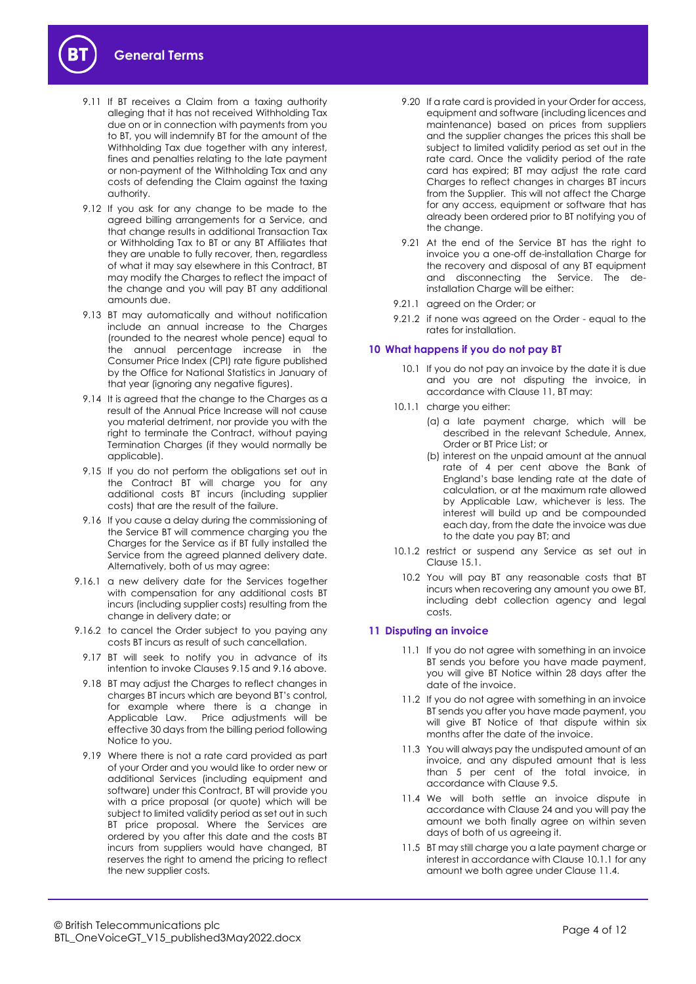- 9.11 If BT receives a Claim from a taxing authority alleging that it has not received Withholding Tax due on or in connection with payments from you to BT, you will indemnify BT for the amount of the Withholding Tax due together with any interest, fines and penalties relating to the late payment or non-payment of the Withholding Tax and any costs of defending the Claim against the taxing authority.
- 9.12 If you ask for any change to be made to the agreed billing arrangements for a Service, and that change results in additional Transaction Tax or Withholding Tax to BT or any BT Affiliates that they are unable to fully recover, then, regardless of what it may say elsewhere in this Contract, BT may modify the Charges to reflect the impact of the change and you will pay BT any additional amounts due.
- 9.13 BT may automatically and without notification include an annual increase to the Charges (rounded to the nearest whole pence) equal to the annual percentage increase in the Consumer Price Index (CPI) rate figure published by the Office for National Statistics in January of that year (ignoring any negative figures).
- 9.14 It is agreed that the change to the Charges as a result of the Annual Price Increase will not cause you material detriment, nor provide you with the right to terminate the Contract, without paying Termination Charges (if they would normally be applicable).
- <span id="page-3-1"></span>9.15 If you do not perform the obligations set out in the Contract BT will charge you for any additional costs BT incurs (including supplier costs) that are the result of the failure.
- <span id="page-3-2"></span>9.16 If you cause a delay during the commissioning of the Service BT will commence charging you the Charges for the Service as if BT fully installed the Service from the agreed planned delivery date. Alternatively, both of us may agree:
- 9.16.1 a new delivery date for the Services together with compensation for any additional costs BT incurs (including supplier costs) resulting from the change in delivery date; or
- 9.16.2 to cancel the Order subject to you paying any costs BT incurs as result of such cancellation.
- 9.17 BT will seek to notify you in advance of its intention to invoke Clauses [9.15](#page-3-1) an[d 9.16](#page-3-2) above.
- 9.18 BT may adjust the Charges to reflect changes in charges BT incurs which are beyond BT's control, for example where there is a change in Applicable Law. Price adjustments will be effective 30 days from the billing period following Notice to you.
- 9.19 Where there is not a rate card provided as part of your Order and you would like to order new or additional Services (including equipment and software) under this Contract, BT will provide you with a price proposal (or quote) which will be subject to limited validity period as set out in such BT price proposal. Where the Services are ordered by you after this date and the costs BT incurs from suppliers would have changed, BT reserves the right to amend the pricing to reflect the new supplier costs.
- 9.20 If a rate card is provided in your Order for access, equipment and software (including licences and maintenance) based on prices from suppliers and the supplier changes the prices this shall be subject to limited validity period as set out in the rate card. Once the validity period of the rate card has expired; BT may adjust the rate card Charges to reflect changes in charges BT incurs from the Supplier. This will not affect the Charge for any access, equipment or software that has already been ordered prior to BT notifying you of the change.
- 9.21 At the end of the Service BT has the right to invoice you a one-off de-installation Charge for the recovery and disposal of any BT equipment and disconnecting the Service. The deinstallation Charge will be either:
- 9.21.1 agreed on the Order; or
- 9.21.2 if none was agreed on the Order equal to the rates for installation.

# **10 What happens if you do not pay BT**

- 10.1 If you do not pay an invoice by the date it is due and you are not disputing the invoice, in accordance with Clause [11,](#page-3-0) BT may:
- <span id="page-3-5"></span><span id="page-3-3"></span>10.1.1 charge you either:
	- (a) a late payment charge, which will be described in the relevant Schedule, Annex, Order or BT Price List; or
	- (b) interest on the unpaid amount at the annual rate of 4 per cent above the Bank of England's base lending rate at the date of calculation, or at the maximum rate allowed by Applicable Law, whichever is less. The interest will build up and be compounded each day, from the date the invoice was due to the date you pay BT; and
- 10.1.2 restrict or suspend any Service as set out in Clause [15.1.](#page-6-1)
	- 10.2 You will pay BT any reasonable costs that BT incurs when recovering any amount you owe BT, including debt collection agency and legal costs.

# <span id="page-3-0"></span>**11 Disputing an invoice**

- 11.1 If you do not agree with something in an invoice BT sends you before you have made payment, you will give BT Notice within 28 days after the date of the invoice.
- 11.2 If you do not agree with something in an invoice BT sends you after you have made payment, you will give BT Notice of that dispute within six months after the date of the invoice.
- 11.3 You will always pay the undisputed amount of an invoice, and any disputed amount that is less than 5 per cent of the total invoice, in accordance with Clause [9.5.](#page-2-1)
- <span id="page-3-4"></span>11.4 We will both settle an invoice dispute in accordance with Claus[e 24](#page-8-1) and you will pay the amount we both finally agree on within seven days of both of us agreeing it.
- 11.5 BT may still charge you a late payment charge or interest in accordance with Claus[e 10.1.1](#page-3-3) for any amount we both agree under Claus[e 11.4.](#page-3-4)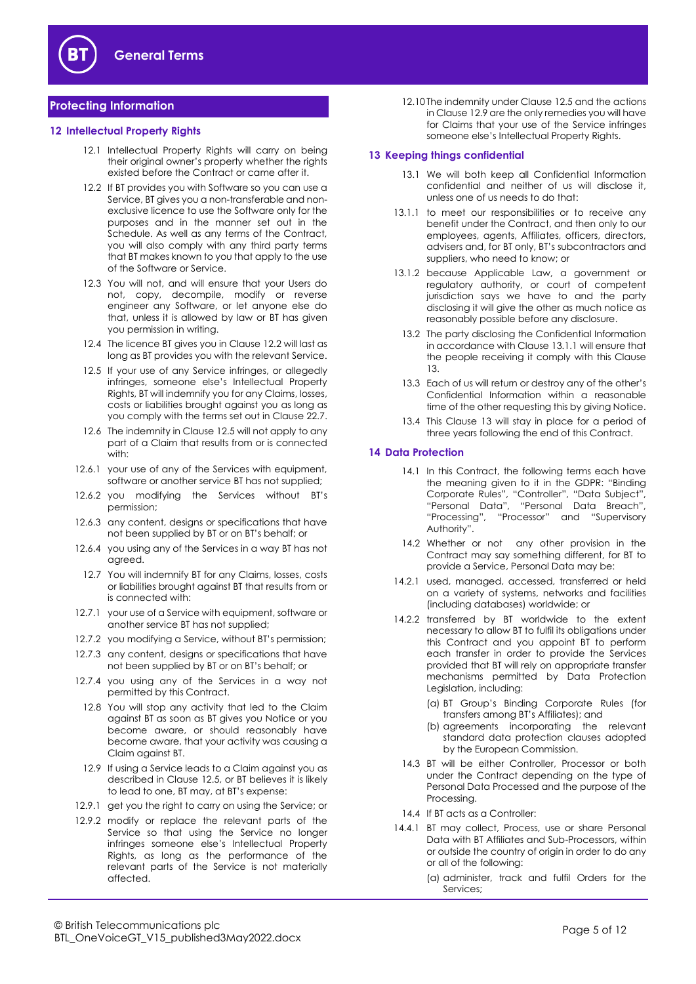

# <span id="page-4-0"></span>**Protecting Information**

#### **12 Intellectual Property Rights**

- 12.1 Intellectual Property Rights will carry on being their original owner's property whether the rights existed before the Contract or came after it.
- <span id="page-4-1"></span>12.2 If BT provides you with Software so you can use a Service, BT gives you a non-transferable and nonexclusive licence to use the Software only for the purposes and in the manner set out in the Schedule. As well as any terms of the Contract, you will also comply with any third party terms that BT makes known to you that apply to the use of the Software or Service.
- 12.3 You will not, and will ensure that your Users do not, copy, decompile, modify or reverse engineer any Software, or let anyone else do that, unless it is allowed by law or BT has given you permission in writing.
- 12.4 The licence BT gives you in Clause [12.2](#page-4-1) will last as long as BT provides you with the relevant Service.
- <span id="page-4-2"></span>12.5 If your use of any Service infringes, or allegedly infringes, someone else's Intellectual Property Rights, BT will indemnify you for any Claims, losses, costs or liabilities brought against you as long as you comply with the terms set out in Claus[e 22.7.](#page-8-2)
- 12.6 The indemnity in Claus[e 12.5](#page-4-2) will not apply to any part of a Claim that results from or is connected with:
- 12.6.1 your use of any of the Services with equipment, software or another service BT has not supplied;
- 12.6.2 you modifying the Services without BT's permission;
- 12.6.3 any content, designs or specifications that have not been supplied by BT or on BT's behalf; or
- 12.6.4 you using any of the Services in a way BT has not agreed.
- 12.7 You will indemnify BT for any Claims, losses, costs or liabilities brought against BT that results from or is connected with:
- 12.7.1 your use of a Service with equipment, software or another service BT has not supplied;
- 12.7.2 you modifying a Service, without BT's permission;
- 12.7.3 any content, designs or specifications that have not been supplied by BT or on BT's behalf; or
- 12.7.4 you using any of the Services in a way not permitted by this Contract.
- 12.8 You will stop any activity that led to the Claim against BT as soon as BT gives you Notice or you become aware, or should reasonably have become aware, that your activity was causing a Claim against BT.
- <span id="page-4-3"></span>12.9 If using a Service leads to a Claim against you as described in Clause [12.5,](#page-4-2) or BT believes it is likely to lead to one, BT may, at BT's expense:
- 12.9.1 get you the right to carry on using the Service; or
- 12.9.2 modify or replace the relevant parts of the Service so that using the Service no longer infringes someone else's Intellectual Property Rights, as long as the performance of the relevant parts of the Service is not materially affected.

12.10 The indemnity under Claus[e 12.5](#page-4-2) and the actions in Claus[e 12.9](#page-4-3) are the only remedies you will have for Claims that your use of the Service infringes someone else's Intellectual Property Rights.

# <span id="page-4-5"></span>**13 Keeping things confidential**

- 13.1 We will both keep all Confidential Information confidential and neither of us will disclose it, unless one of us needs to do that:
- <span id="page-4-4"></span>13.1.1 to meet our responsibilities or to receive any benefit under the Contract, and then only to our employees, agents, Affiliates, officers, directors, advisers and, for BT only, BT's subcontractors and suppliers, who need to know; or
- 13.1.2 because Applicable Law, a government or regulatory authority, or court of competent jurisdiction says we have to and the party disclosing it will give the other as much notice as reasonably possible before any disclosure.
	- 13.2 The party disclosing the Confidential Information in accordance with Claus[e 13.1.1](#page-4-4) will ensure that the people receiving it comply with this Clause [13.](#page-4-5)
	- 13.3 Each of us will return or destroy any of the other's Confidential Information within a reasonable time of the other requesting this by giving Notice.
	- 13.4 This Clause [13](#page-4-5) will stay in place for a period of three years following the end of this Contract.

#### **14 Data Protection**

- 14.1 In this Contract, the following terms each have the meaning given to it in the GDPR: "Binding Corporate Rules", "Controller", "Data Subject", "Personal Data", "Personal Data Breach", "Processing", "Processor" and "Supervisory Authority".
- 14.2 Whether or not any other provision in the Contract may say something different, for BT to provide a Service, Personal Data may be:
- 14.2.1 used, managed, accessed, transferred or held on a variety of systems, networks and facilities (including databases) worldwide; or
- 14.2.2 transferred by BT worldwide to the extent necessary to allow BT to fulfil its obligations under this Contract and you appoint BT to perform each transfer in order to provide the Services provided that BT will rely on appropriate transfer mechanisms permitted by Data Protection Legislation, including:
	- (a) BT Group's Binding Corporate Rules (for transfers among BT's Affiliates); and
	- (b) agreements incorporating the relevant standard data protection clauses adopted by the European Commission.
- 14.3 BT will be either Controller, Processor or both under the Contract depending on the type of Personal Data Processed and the purpose of the Processing.
- 14.4 If BT acts as a Controller:
- 14.4.1 BT may collect, Process, use or share Personal Data with BT Affiliates and Sub-Processors, within or outside the country of origin in order to do any or all of the following:
	- (a) administer, track and fulfil Orders for the Services;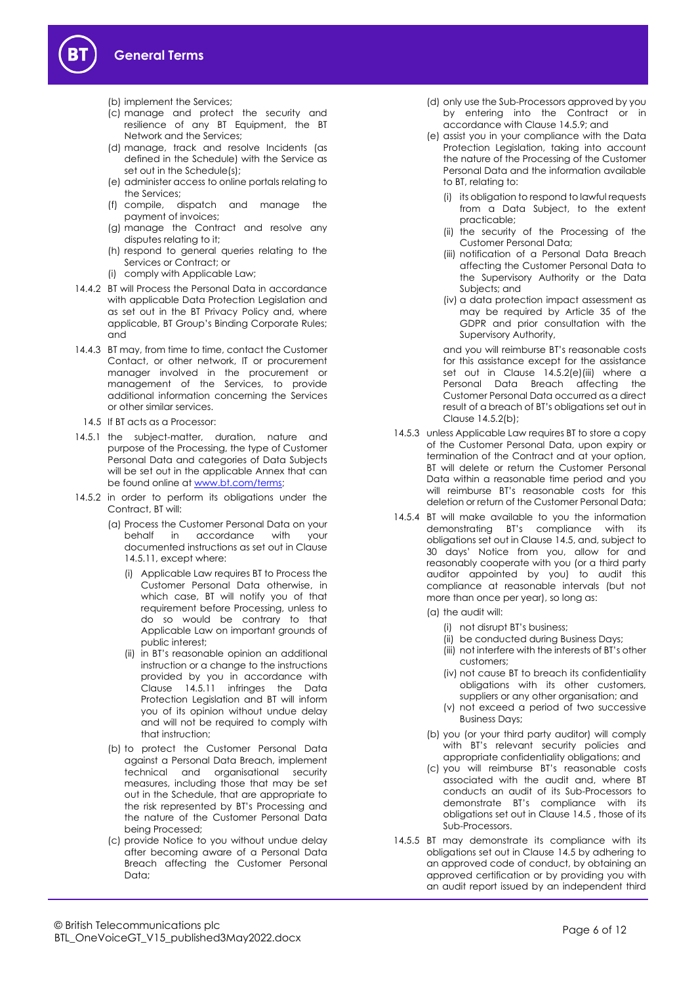

- (b) implement the Services;
- (c) manage and protect the security and resilience of any BT Equipment, the BT Network and the Services;
- (d) manage, track and resolve Incidents (as defined in the Schedule) with the Service as set out in the Schedule(s);
- (e) administer access to online portals relating to the Services;
- (f) compile, dispatch and manage the payment of invoices;
- (g) manage the Contract and resolve any disputes relating to it;
- (h) respond to general queries relating to the Services or Contract; or
- (i) comply with Applicable Law;
- 14.4.2 BT will Process the Personal Data in accordance with applicable Data Protection Legislation and as set out in the BT Privacy Policy and, where applicable, BT Group's Binding Corporate Rules; and
- 14.4.3 BT may, from time to time, contact the Customer Contact, or other network, IT or procurement manager involved in the procurement or management of the Services, to provide additional information concerning the Services or other similar services.
- 14.5 If BT acts as a Processor:
- <span id="page-5-0"></span>14.5.1 the subject-matter, duration, nature and purpose of the Processing, the type of Customer Personal Data and categories of Data Subjects will be set out in the applicable Annex that can be found online a[t www.bt.com/terms;](http://www.bt.com/terms)
- 14.5.2 in order to perform its obligations under the Contract, BT will:
	- (a) Process the Customer Personal Data on your behalf in accordance with your documented instructions as set out in Clause [14.5.11,](#page-6-2) except where:
		- (i) Applicable Law requires BT to Process the Customer Personal Data otherwise, in which case, BT will notify you of that requirement before Processing, unless to do so would be contrary to that Applicable Law on important grounds of public interest;
		- (ii) in BT's reasonable opinion an additional instruction or a change to the instructions provided by you in accordance with Clause [14.5.11](#page-6-2) infringes the Data Protection Legislation and BT will inform you of its opinion without undue delay and will not be required to comply with that instruction;
	- (b) to protect the Customer Personal Data against a Personal Data Breach, implement technical and organisational security measures, including those that may be set out in the Schedule, that are appropriate to the risk represented by BT's Processing and the nature of the Customer Personal Data being Processed;
	- (c) provide Notice to you without undue delay after becoming aware of a Personal Data Breach affecting the Customer Personal Data;
- (d) only use the Sub-Processors approved by you by entering into the Contract or in accordance with Claus[e 14.5.9;](#page-6-3) and
- (e) assist you in your compliance with the Data Protection Legislation, taking into account the nature of the Processing of the Customer Personal Data and the information available to BT, relating to:
	- (i) its obligation to respond to lawful requests from a Data Subject, to the extent practicable;
	- (ii) the security of the Processing of the Customer Personal Data;
	- (iii) notification of a Personal Data Breach affecting the Customer Personal Data to the Supervisory Authority or the Data Subjects; and
	- (iv) a data protection impact assessment as may be required by Article 35 of the GDPR and prior consultation with the Supervisory Authority,

and you will reimburse BT's reasonable costs for this assistance except for the assistance set out in Clause 14.5.2(e)(iii) where a Personal Data Breach affecting the Customer Personal Data occurred as a direct result of a breach of BT's obligations set out in Clause 14.5.2(b);

- 14.5.3 unless Applicable Law requires BT to store a copy of the Customer Personal Data, upon expiry or termination of the Contract and at your option, BT will delete or return the Customer Personal Data within a reasonable time period and you will reimburse BT's reasonable costs for this deletion or return of the Customer Personal Data;
- 14.5.4 BT will make available to you the information demonstrating BT's compliance with its obligations set out in Claus[e 14.5,](#page-5-0) and, subject to 30 days' Notice from you, allow for and reasonably cooperate with you (or a third party auditor appointed by you) to audit this compliance at reasonable intervals (but not more than once per year), so long as:
	- (a) the audit will:
		- (i) not disrupt BT's business;
		- (ii) be conducted during Business Days;
		- (iii) not interfere with the interests of BT's other customers;
		- (iv) not cause BT to breach its confidentiality obligations with its other customers, suppliers or any other organisation; and
		- (v) not exceed a period of two successive Business Days;
	- (b) you (or your third party auditor) will comply with BT's relevant security policies and appropriate confidentiality obligations; and
	- (c) you will reimburse BT's reasonable costs associated with the audit and, where BT conducts an audit of its Sub-Processors to demonstrate BT's compliance with its obligations set out in Claus[e 14.5](#page-5-0) , those of its Sub-Processors.
- 14.5.5 BT may demonstrate its compliance with its obligations set out in Clause [14.5](#page-5-0) by adhering to an approved code of conduct, by obtaining an approved certification or by providing you with an audit report issued by an independent third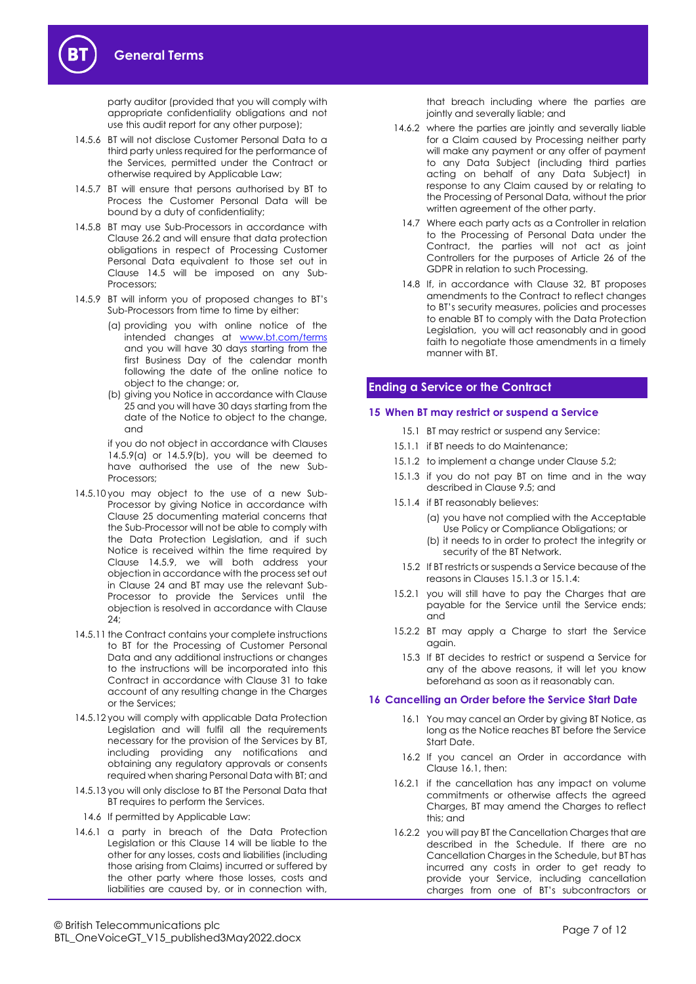party auditor (provided that you will comply with appropriate confidentiality obligations and not use this audit report for any other purpose);

- 14.5.6 BT will not disclose Customer Personal Data to a third party unless required for the performance of the Services, permitted under the Contract or otherwise required by Applicable Law;
- 14.5.7 BT will ensure that persons authorised by BT to Process the Customer Personal Data will be bound by a duty of confidentiality;
- 14.5.8 BT may use Sub-Processors in accordance with Clause [26.2](#page-9-1) and will ensure that data protection obligations in respect of Processing Customer Personal Data equivalent to those set out in Clause [14.5](#page-5-0) will be imposed on any Sub-Processors;
- <span id="page-6-3"></span>14.5.9 BT will inform you of proposed changes to BT's Sub-Processors from time to time by either:
	- (a) providing you with online notice of the intended changes at [www.bt.com/terms](http://www.bt.com/terms) and you will have 30 days starting from the first Business Day of the calendar month following the date of the online notice to object to the change; or,
	- (b) giving you Notice in accordance with Clause [25](#page-9-2) and you will have 30 days starting from the date of the Notice to object to the change, and

if you do not object in accordance with Clauses 14.5.9(a) or 14.5.9(b), you will be deemed to have authorised the use of the new Sub-Processors;

- 14.5.10 you may object to the use of a new Sub-Processor by giving Notice in accordance with Clause [25](#page-9-2) documenting material concerns that the Sub-Processor will not be able to comply with the Data Protection Legislation, and if such Notice is received within the time required by Clause 14.5.9, we will both address your objection in accordance with the process set out in Clause 24 and BT may use the relevant Sub-Processor to provide the Services until the objection is resolved in accordance with Clause [24;](#page-8-1)
- <span id="page-6-2"></span>14.5.11 the Contract contains your complete instructions to BT for the Processing of Customer Personal Data and any additional instructions or changes to the instructions will be incorporated into this Contract in accordance with Clause [31](#page-9-3) to take account of any resulting change in the Charges or the Services;
- 14.5.12 you will comply with applicable Data Protection Legislation and will fulfil all the requirements necessary for the provision of the Services by BT, including providing any notifications and obtaining any regulatory approvals or consents required when sharing Personal Data with BT; and
- 14.5.13 you will only disclose to BT the Personal Data that BT requires to perform the Services.
- 14.6 If permitted by Applicable Law:
- 14.6.1 a party in breach of the Data Protection Legislation or this Clause 14 will be liable to the other for any losses, costs and liabilities (including those arising from Claims) incurred or suffered by the other party where those losses, costs and liabilities are caused by, or in connection with,

that breach including where the parties are jointly and severally liable; and

- 14.6.2 where the parties are jointly and severally liable for a Claim caused by Processing neither party will make any payment or any offer of payment to any Data Subject (including third parties acting on behalf of any Data Subject) in response to any Claim caused by or relating to the Processing of Personal Data, without the prior written agreement of the other party.
	- 14.7 Where each party acts as a Controller in relation to the Processing of Personal Data under the Contract, the parties will not act as joint Controllers for the purposes of Article 26 of the GDPR in relation to such Processing.
	- 14.8 If, in accordance with Clause [32,](#page-10-1) BT proposes amendments to the Contract to reflect changes to BT's security measures, policies and processes to enable BT to comply with the Data Protection Legislation, you will act reasonably and in good faith to negotiate those amendments in a timely manner with BT.

# <span id="page-6-0"></span>**Ending a Service or the Contract**

# <span id="page-6-1"></span>**15 When BT may restrict or suspend a Service**

- 15.1 BT may restrict or suspend any Service:
- 15.1.1 if BT needs to do Maintenance;
- 15.1.2 to implement a change under Clause [5.2;](#page-1-2)
- <span id="page-6-4"></span>15.1.3 if you do not pay BT on time and in the way described in Clause [9.5;](#page-2-1) and
- <span id="page-6-5"></span>15.1.4 if BT reasonably believes:
	- (a) you have not complied with the Acceptable Use Policy or Compliance Obligations; or
	- (b) it needs to in order to protect the integrity or security of the BT Network.
	- 15.2 If BT restricts or suspends a Service because of the reasons in Clause[s 15.1.3](#page-6-4) or 15.1.4
- 15.2.1 you will still have to pay the Charges that are payable for the Service until the Service ends; and
- 15.2.2 BT may apply a Charge to start the Service again.
	- 15.3 If BT decides to restrict or suspend a Service for any of the above reasons, it will let you know beforehand as soon as it reasonably can.

#### <span id="page-6-7"></span><span id="page-6-6"></span>**16 Cancelling an Order before the Service Start Date**

- 16.1 You may cancel an Order by giving BT Notice, as long as the Notice reaches BT before the Service Start Date.
- 16.2 If you cancel an Order in accordance with Clause [16.1,](#page-6-6) then:
- 16.2.1 if the cancellation has any impact on volume commitments or otherwise affects the agreed Charges, BT may amend the Charges to reflect this; and
- 16.2.2 you will pay BT the Cancellation Charges that are described in the Schedule. If there are no Cancellation Charges in the Schedule, but BT has incurred any costs in order to get ready to provide your Service, including cancellation charges from one of BT's subcontractors or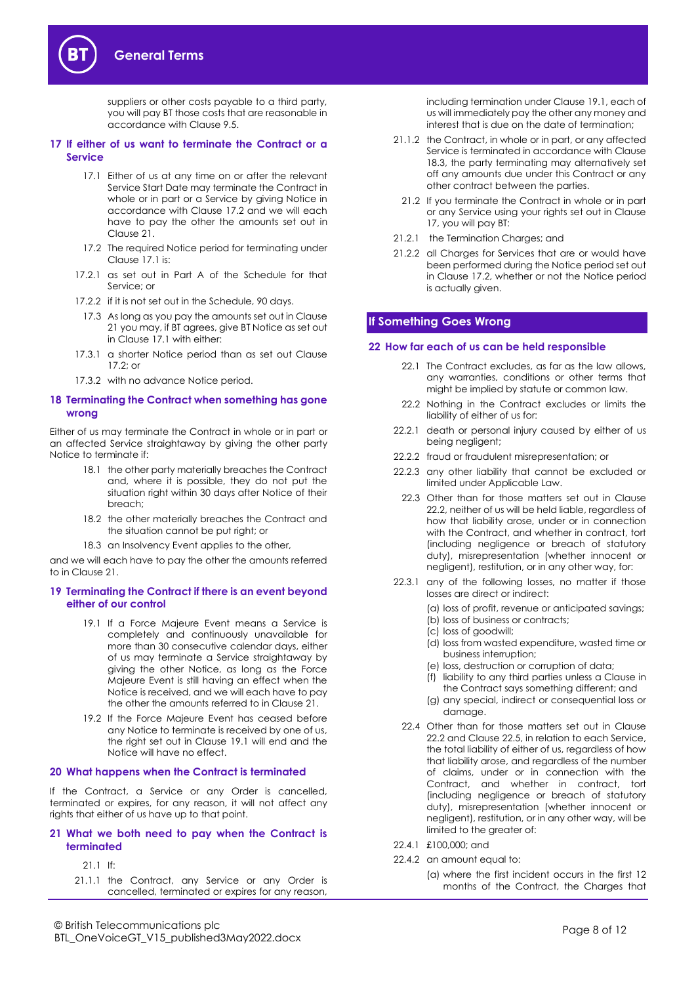suppliers or other costs payable to a third party, you will pay BT those costs that are reasonable in accordance with Clause [9.5.](#page-2-1)

#### <span id="page-7-6"></span><span id="page-7-3"></span>**17 If either of us want to terminate the Contract or a Service**

- 17.1 Either of us at any time on or after the relevant Service Start Date may terminate the Contract in whole or in part or a Service by giving Notice in accordance with Clause [17.2](#page-7-1) and we will each have to pay the other the amounts set out in Clause [21.](#page-7-2)
- <span id="page-7-1"></span>17.2 The required Notice period for terminating under Clause [17.1](#page-7-3) is:
- 17.2.1 as set out in Part A of the Schedule for that Service; or
- 17.2.2 if it is not set out in the Schedule, 90 days.
	- 17.3 As long as you pay the amounts set out in Clause [21](#page-7-2) you may, if BT agrees, give BT Notice as set out in Clause [17.1](#page-7-3) with either:
- 17.3.1 a shorter Notice period than as set out Clause  $17.2 \cdot$  or
- 17.3.2 with no advance Notice period.

#### <span id="page-7-9"></span>**18 Terminating the Contract when something has gone wrong**

Either of us may terminate the Contract in whole or in part or an affected Service straightaway by giving the other party Notice to terminate if:

- 18.1 the other party materially breaches the Contract and, where it is possible, they do not put the situation right within 30 days after Notice of their breach;
- 18.2 the other materially breaches the Contract and the situation cannot be put right; or
- 18.3 an Insolvency Event applies to the other,

<span id="page-7-5"></span>and we will each have to pay the other the amounts referred to in Claus[e 21.](#page-7-2)

#### <span id="page-7-4"></span>**19 Terminating the Contract if there is an event beyond either of our control**

- 19.1 If a Force Majeure Event means a Service is completely and continuously unavailable for more than 30 consecutive calendar days, either of us may terminate a Service straightaway by giving the other Notice, as long as the Force Majeure Event is still having an effect when the Notice is received, and we will each have to pay the other the amounts referred to in Claus[e 21.](#page-7-2)
- 19.2 If the Force Majeure Event has ceased before any Notice to terminate is received by one of us, the right set out in Clause [19.1](#page-7-4) will end and the Notice will have no effect.

#### **20 What happens when the Contract is terminated**

If the Contract, a Service or any Order is cancelled, terminated or expires, for any reason, it will not affect any rights that either of us have up to that point.

#### <span id="page-7-2"></span>**21 What we both need to pay when the Contract is terminated**

- 21.1 If:
- 21.1.1 the Contract, any Service or any Order is cancelled, terminated or expires for any reason,

including termination under Claus[e 19.1,](#page-7-4) each of us will immediately pay the other any money and interest that is due on the date of termination;

- 21.1.2 the Contract, in whole or in part, or any affected Service is terminated in accordance with Clause [18.3,](#page-7-5) the party terminating may alternatively set off any amounts due under this Contract or any other contract between the parties.
	- 21.2 If you terminate the Contract in whole or in part or any Service using your rights set out in Clause [17,](#page-7-6) you will pay BT:
- 21.2.1 the Termination Charges; and
- 21.2.2 all Charges for Services that are or would have been performed during the Notice period set out in Clause [17.2,](#page-7-1) whether or not the Notice period is actually given.

# <span id="page-7-0"></span>**If Something Goes Wrong**

#### **22 How far each of us can be held responsible**

- 22.1 The Contract excludes, as far as the law allows, any warranties, conditions or other terms that might be implied by statute or common law.
- <span id="page-7-7"></span>22.2 Nothing in the Contract excludes or limits the liability of either of us for:
- 22.2.1 death or personal injury caused by either of us being negligent;
- 22.2.2 fraud or fraudulent misrepresentation; or
- 22.2.3 any other liability that cannot be excluded or limited under Applicable Law.
	- 22.3 Other than for those matters set out in Clause [22.2,](#page-7-7) neither of us will be held liable, regardless of how that liability arose, under or in connection with the Contract, and whether in contract, tort (including negligence or breach of statutory duty), misrepresentation (whether innocent or negligent), restitution, or in any other way, for:
- 22.3.1 any of the following losses, no matter if those losses are direct or indirect:
	- (a) loss of profit, revenue or anticipated savings;
	- (b) loss of business or contracts;
	- (c) loss of goodwill;
	- (d) loss from wasted expenditure, wasted time or business interruption;
	- (e) loss, destruction or corruption of data;
	- (f) liability to any third parties unless a Clause in the Contract says something different; and
	- (g) any special, indirect or consequential loss or damage.
	- 22.4 Other than for those matters set out in Clause [22.2](#page-7-7) and Claus[e 22.5,](#page-8-3) in relation to each Service, the total liability of either of us, regardless of how that liability arose, and regardless of the number of claims, under or in connection with the Contract, and whether in contract, tort (including negligence or breach of statutory duty), misrepresentation (whether innocent or negligent), restitution, or in any other way, will be limited to the greater of:
- <span id="page-7-8"></span>22.4.1 £100,000; and
- 22.4.2 an amount equal to:
	- (a) where the first incident occurs in the first 12 months of the Contract, the Charges that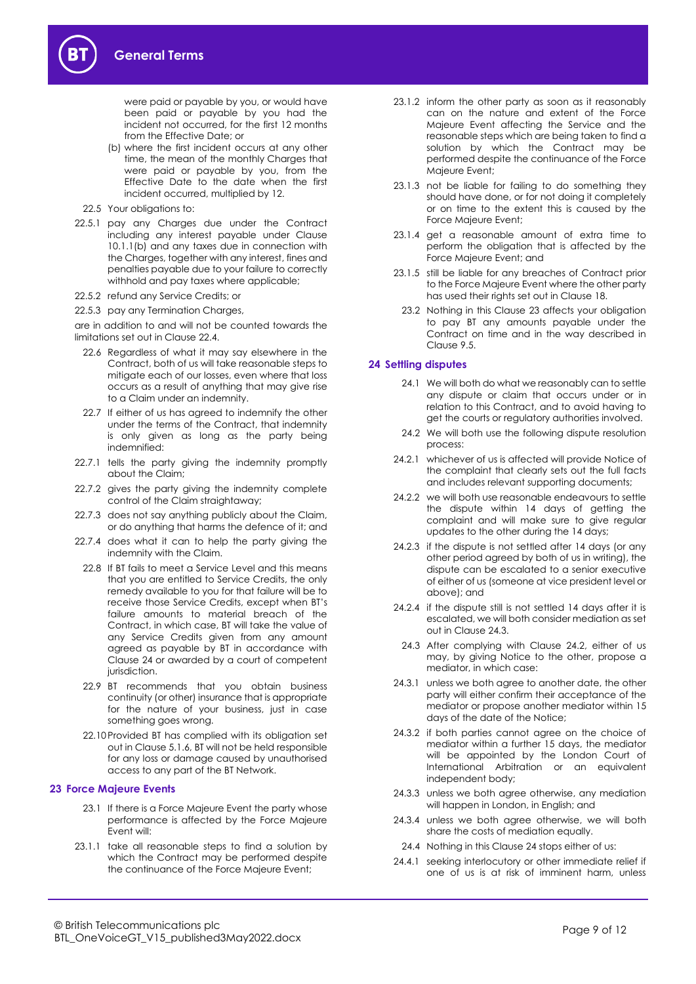were paid or payable by you, or would have been paid or payable by you had the incident not occurred, for the first 12 months from the Effective Date; or

- (b) where the first incident occurs at any other time, the mean of the monthly Charges that were paid or payable by you, from the Effective Date to the date when the first incident occurred, multiplied by 12.
- <span id="page-8-3"></span>22.5 Your obligations to:
- 22.5.1 pay any Charges due under the Contract including any interest payable under Clause [10.1.1\(b\)](#page-3-5) and any taxes due in connection with the Charges, together with any interest, fines and penalties payable due to your failure to correctly withhold and pay taxes where applicable;
- 22.5.2 refund any Service Credits; or
- 22.5.3 pay any Termination Charges,

are in addition to and will not be counted towards the limitations set out in Clause [22.4.](#page-7-8) 

- 22.6 Regardless of what it may say elsewhere in the Contract, both of us will take reasonable steps to mitigate each of our losses, even where that loss occurs as a result of anything that may give rise to a Claim under an indemnity.
- <span id="page-8-2"></span>22.7 If either of us has agreed to indemnify the other under the terms of the Contract, that indemnity is only given as long as the party being indemnified:
- 22.7.1 tells the party giving the indemnity promptly about the Claim;
- 22.7.2 gives the party giving the indemnity complete control of the Claim straightaway;
- 22.7.3 does not say anything publicly about the Claim, or do anything that harms the defence of it; and
- 22.7.4 does what it can to help the party giving the indemnity with the Claim.
- 22.8 If BT fails to meet a Service Level and this means that you are entitled to Service Credits, the only remedy available to you for that failure will be to receive those Service Credits, except when BT's failure amounts to material breach of the Contract, in which case, BT will take the value of any Service Credits given from any amount agreed as payable by BT in accordance with Clause [24](#page-8-1) or awarded by a court of competent jurisdiction.
- 22.9 BT recommends that you obtain business continuity (or other) insurance that is appropriate for the nature of your business, just in case something goes wrong.
- 22.10Provided BT has complied with its obligation set out in Claus[e 5.1.6,](#page-1-3) BT will not be held responsible for any loss or damage caused by unauthorised access to any part of the BT Network.

#### <span id="page-8-0"></span>**23 Force Majeure Events**

- 23.1 If there is a Force Majeure Event the party whose performance is affected by the Force Majeure Event will:
- 23.1.1 take all reasonable steps to find a solution by which the Contract may be performed despite the continuance of the Force Majeure Event;
- 23.1.2 inform the other party as soon as it reasonably can on the nature and extent of the Force Majeure Event affecting the Service and the reasonable steps which are being taken to find a solution by which the Contract may be performed despite the continuance of the Force Majeure Event;
- 23.1.3 not be liable for failing to do something they should have done, or for not doing it completely or on time to the extent this is caused by the Force Majeure Event;
- 23.1.4 get a reasonable amount of extra time to perform the obligation that is affected by the Force Majeure Event; and
- 23.1.5 still be liable for any breaches of Contract prior to the Force Majeure Event where the other party has used their rights set out in Claus[e 18.](#page-7-9)
	- 23.2 Nothing in this Clause [23](#page-8-0) affects your obligation to pay BT any amounts payable under the Contract on time and in the way described in Clause [9.5.](#page-2-1)

# <span id="page-8-1"></span>**24 Settling disputes**

- 24.1 We will both do what we reasonably can to settle any dispute or claim that occurs under or in relation to this Contract, and to avoid having to get the courts or regulatory authorities involved.
- <span id="page-8-5"></span>24.2 We will both use the following dispute resolution process:
- 24.2.1 whichever of us is affected will provide Notice of the complaint that clearly sets out the full facts and includes relevant supporting documents;
- 24.2.2 we will both use reasonable endeavours to settle the dispute within 14 days of getting the complaint and will make sure to give regular updates to the other during the 14 days;
- 24.2.3 if the dispute is not settled after 14 days (or any other period agreed by both of us in writing), the dispute can be escalated to a senior executive of either of us (someone at vice president level or above); and
- 24.2.4 if the dispute still is not settled 14 days after it is escalated, we will both consider mediation as set out in Claus[e 24.3.](#page-8-4)
	- 24.3 After complying with Clause [24.2,](#page-8-5) either of us may, by giving Notice to the other, propose a mediator, in which case:
- <span id="page-8-4"></span>24.3.1 unless we both agree to another date, the other party will either confirm their acceptance of the mediator or propose another mediator within 15 days of the date of the Notice;
- 24.3.2 if both parties cannot agree on the choice of mediator within a further 15 days, the mediator will be appointed by the London Court of International Arbitration or an equivalent independent body;
- 24.3.3 unless we both agree otherwise, any mediation will happen in London, in English; and
- 24.3.4 unless we both agree otherwise, we will both share the costs of mediation equally.
	- 24.4 Nothing in this Clause [24](#page-8-1) stops either of us:
- 24.4.1 seeking interlocutory or other immediate relief if one of us is at risk of imminent harm, unless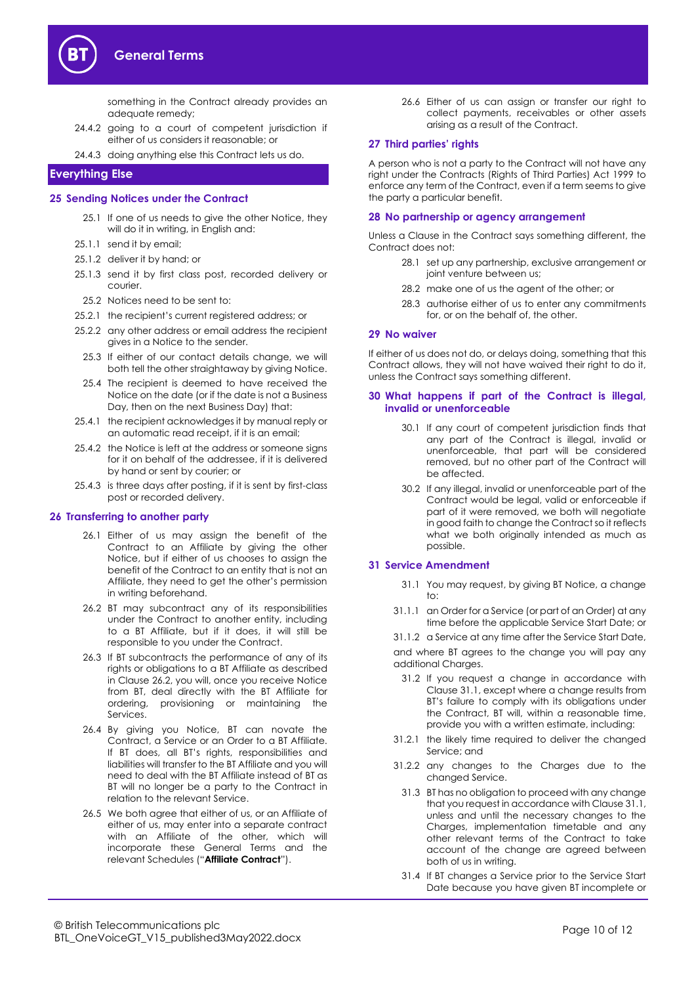

something in the Contract already provides an adequate remedy;

- 24.4.2 going to a court of competent jurisdiction if either of us considers it reasonable; or
- 24.4.3 doing anything else this Contract lets us do.

# <span id="page-9-0"></span>**Everything Else**

#### <span id="page-9-2"></span>**25 Sending Notices under the Contract**

- 25.1 If one of us needs to give the other Notice, they will do it in writing, in English and:
- 25.1.1 send it by email;
- 25.1.2 deliver it by hand; or
- 25.1.3 send it by first class post, recorded delivery or courier.
- 25.2 Notices need to be sent to:
- 25.2.1 the recipient's current registered address; or
- 25.2.2 any other address or email address the recipient gives in a Notice to the sender.
- 25.3 If either of our contact details change, we will both tell the other straightaway by giving Notice.
- 25.4 The recipient is deemed to have received the Notice on the date (or if the date is not a Business Day, then on the next Business Day) that:
- 25.4.1 the recipient acknowledges it by manual reply or an automatic read receipt, if it is an email;
- 25.4.2 the Notice is left at the address or someone signs for it on behalf of the addressee, if it is delivered by hand or sent by courier; or
- 25.4.3 is three days after posting, if it is sent by first-class post or recorded delivery.

#### **26 Transferring to another party**

- 26.1 Either of us may assign the benefit of the Contract to an Affiliate by giving the other Notice, but if either of us chooses to assign the benefit of the Contract to an entity that is not an Affiliate, they need to get the other's permission in writing beforehand.
- <span id="page-9-1"></span>26.2 BT may subcontract any of its responsibilities under the Contract to another entity, including to a BT Affiliate, but if it does, it will still be responsible to you under the Contract.
- 26.3 If BT subcontracts the performance of any of its rights or obligations to a BT Affiliate as described in Clause [26.2,](#page-9-1) you will, once you receive Notice from BT, deal directly with the BT Affiliate for ordering, provisioning or maintaining the Services.
- 26.4 By giving you Notice, BT can novate the Contract, a Service or an Order to a BT Affiliate. If BT does, all BT's rights, responsibilities and liabilities will transfer to the BT Affiliate and you will need to deal with the BT Affiliate instead of BT as BT will no longer be a party to the Contract in relation to the relevant Service.
- <span id="page-9-5"></span>26.5 We both agree that either of us, or an Affiliate of either of us, may enter into a separate contract with an Affiliate of the other, which will incorporate these General Terms and the relevant Schedules ("**Affiliate Contract**").

26.6 Either of us can assign or transfer our right to collect payments, receivables or other assets arising as a result of the Contract.

#### **27 Third parties' rights**

A person who is not a party to the Contract will not have any right under the Contracts (Rights of Third Parties) Act 1999 to enforce any term of the Contract, even if a term seems to give the party a particular benefit.

# **28 No partnership or agency arrangement**

Unless a Clause in the Contract says something different, the Contract does not:

- 28.1 set up any partnership, exclusive arrangement or joint venture between us;
- 28.2 make one of us the agent of the other; or
- 28.3 authorise either of us to enter any commitments for, or on the behalf of, the other.

#### **29 No waiver**

If either of us does not do, or delays doing, something that this Contract allows, they will not have waived their right to do it, unless the Contract says something different.

#### **30 What happens if part of the Contract is illegal, invalid or unenforceable**

- 30.1 If any court of competent jurisdiction finds that any part of the Contract is illegal, invalid or unenforceable, that part will be considered removed, but no other part of the Contract will be affected.
- 30.2 If any illegal, invalid or unenforceable part of the Contract would be legal, valid or enforceable if part of it were removed, we both will negotiate in good faith to change the Contract so it reflects what we both originally intended as much as possible.

#### <span id="page-9-4"></span><span id="page-9-3"></span>**31 Service Amendment**

- 31.1 You may request, by giving BT Notice, a change to:
- 31.1.1 an Order for a Service (or part of an Order) at any time before the applicable Service Start Date; or

31.1.2 a Service at any time after the Service Start Date, and where BT agrees to the change you will pay any additional Charges.

- 31.2 If you request a change in accordance with Clause 31.1, except where a change results from BT's failure to comply with its obligations under the Contract, BT will, within a reasonable time, provide you with a written estimate, including:
- 31.2.1 the likely time required to deliver the changed Service; and
- 31.2.2 any changes to the Charges due to the changed Service.
	- 31.3 BT has no obligation to proceed with any change that you request in accordance with Clause [31.1,](#page-9-4)  unless and until the necessary changes to the Charges, implementation timetable and any other relevant terms of the Contract to take account of the change are agreed between both of us in writing.
	- 31.4 If BT changes a Service prior to the Service Start Date because you have given BT incomplete or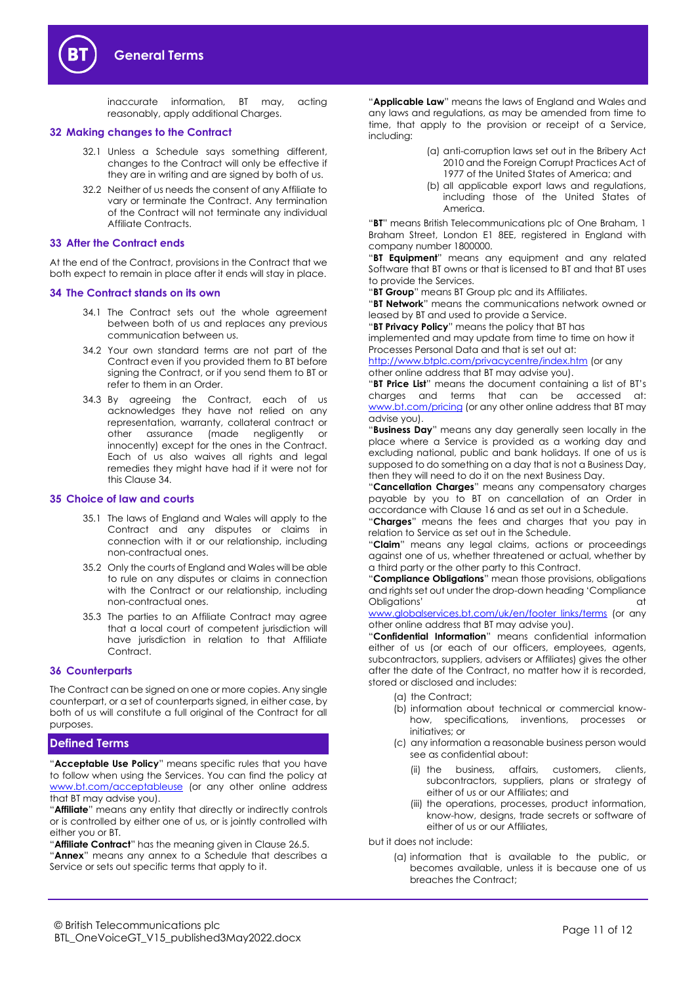inaccurate information, BT may, acting reasonably, apply additional Charges.

#### <span id="page-10-1"></span>**32 Making changes to the Contract**

- 32.1 Unless a Schedule says something different, changes to the Contract will only be effective if they are in writing and are signed by both of us.
- 32.2 Neither of us needs the consent of any Affiliate to vary or terminate the Contract. Any termination of the Contract will not terminate any individual Affiliate Contracts.

#### **33 After the Contract ends**

At the end of the Contract, provisions in the Contract that we both expect to remain in place after it ends will stay in place.

#### <span id="page-10-2"></span>**34 The Contract stands on its own**

- 34.1 The Contract sets out the whole agreement between both of us and replaces any previous communication between us.
- 34.2 Your own standard terms are not part of the Contract even if you provided them to BT before signing the Contract, or if you send them to BT or refer to them in an Order.
- 34.3 By agreeing the Contract, each of us acknowledges they have not relied on any representation, warranty, collateral contract or other assurance (made negligently or innocently) except for the ones in the Contract. Each of us also waives all rights and legal remedies they might have had if it were not for this Claus[e 34.](#page-10-2)

#### **35 Choice of law and courts**

- 35.1 The laws of England and Wales will apply to the Contract and any disputes or claims in connection with it or our relationship, including non-contractual ones.
- 35.2 Only the courts of England and Wales will be able to rule on any disputes or claims in connection with the Contract or our relationship, including non-contractual ones.
- 35.3 The parties to an Affiliate Contract may agree that a local court of competent jurisdiction will have jurisdiction in relation to that Affiliate Contract.

# **36 Counterparts**

The Contract can be signed on one or more copies. Any single counterpart, or a set of counterparts signed, in either case, by both of us will constitute a full original of the Contract for all purposes.

#### <span id="page-10-0"></span>**Defined Terms**

"**Acceptable Use Policy**" means specific rules that you have to follow when using the Services. You can find the policy at [www.bt.com/acceptableuse](http://www.bt.com/acceptableuse) (or any other online address that BT may advise you).

"**Affiliate**" means any entity that directly or indirectly controls or is controlled by either one of us, or is jointly controlled with either you or BT.

"**Affiliate Contract**" has the meaning given in Clause [26.5.](#page-9-5) "**Annex**" means any annex to a Schedule that describes a Service or sets out specific terms that apply to it.

"**Applicable Law**" means the laws of England and Wales and any laws and regulations, as may be amended from time to time, that apply to the provision or receipt of a Service, including:

- (a) anti-corruption laws set out in the Bribery Act 2010 and the Foreign Corrupt Practices Act of 1977 of the United States of America; and
- (b) all applicable export laws and regulations, including those of the United States of America.

"**BT**" means British Telecommunications plc of One Braham, 1 Braham Street, London E1 8EE, registered in England with company number 1800000.

"**BT Equipment**" means any equipment and any related Software that BT owns or that is licensed to BT and that BT uses to provide the Services.

"**BT Group**" means BT Group plc and its Affiliates.

"**BT Network**" means the communications network owned or leased by BT and used to provide a Service.

"**BT Privacy Policy**" means the policy that BT has implemented and may update from time to time on how it Processes Personal Data and that is set out at:

<http://www.btplc.com/privacycentre/index.htm> (or any other online address that BT may advise you).

"**BT Price List**" means the document containing a list of BT's charges and terms that can be accessed at: [www.bt.com/pricing](http://www.bt.com/pricing) (or any other online address that BT may advise you).

"**Business Day**" means any day generally seen locally in the place where a Service is provided as a working day and excluding national, public and bank holidays. If one of us is supposed to do something on a day that is not a Business Day, then they will need to do it on the next Business Day.

"**Cancellation Charges**" means any compensatory charges payable by you to BT on cancellation of an Order in accordance with Claus[e 16](#page-6-7) and as set out in a Schedule.

"**Charges**" means the fees and charges that you pay in relation to Service as set out in the Schedule.

"**Claim**" means any legal claims, actions or proceedings against one of us, whether threatened or actual, whether by a third party or the other party to this Contract.

"**Compliance Obligations**" mean those provisions, obligations and rights set out under the drop-down heading 'Compliance Obligations' at the contract of the contract of the contract of the contract of the contract of the contract of the contract of the contract of the contract of the contract of the contract of the contract of the contract o

[www.globalservices.bt.com/uk/en/footer\\_links/terms](https://www.globalservices.bt.com/uk/en/footer_links/terms) (or any other online address that BT may advise you).

"**Confidential Information**" means confidential information either of us (or each of our officers, employees, agents, subcontractors, suppliers, advisers or Affiliates) gives the other after the date of the Contract, no matter how it is recorded, stored or disclosed and includes:

- (a) the Contract;
- (b) information about technical or commercial knowhow, specifications, inventions, processes or initiatives; or
- (c) any information a reasonable business person would see as confidential about:
	- (ii) the business, affairs, customers, clients, subcontractors, suppliers, plans or strategy of either of us or our Affiliates; and
	- (iii) the operations, processes, product information, know-how, designs, trade secrets or software of either of us or our Affiliates,

but it does not include:

(a) information that is available to the public, or becomes available, unless it is because one of us breaches the Contract;